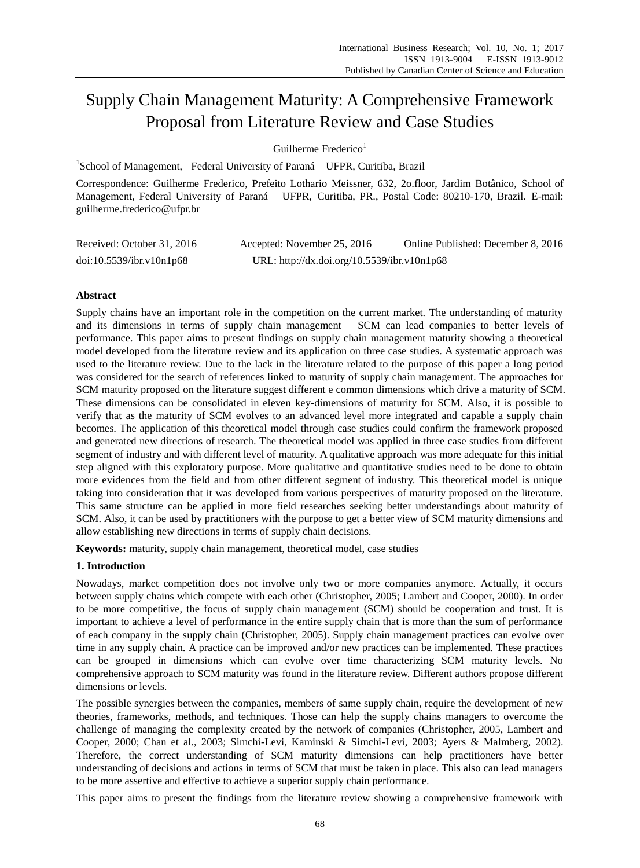# Supply Chain Management Maturity: A Comprehensive Framework Proposal from Literature Review and Case Studies

Guilherme Frederico $1$ 

<sup>1</sup>School of Management, Federal University of Paraná – UFPR, Curitiba, Brazil

Correspondence: Guilherme Frederico, Prefeito Lothario Meissner, 632, 2o.floor, Jardim Botânico, School of Management, Federal University of Paraná – UFPR, Curitiba, PR., Postal Code: 80210-170, Brazil. E-mail: guilherme.frederico@ufpr.br

| Received: October 31, 2016 | Accepted: November 25, 2016                 | Online Published: December 8, 2016 |
|----------------------------|---------------------------------------------|------------------------------------|
| doi:10.5539/ibr.v10n1p68   | URL: http://dx.doi.org/10.5539/ibr.v10n1p68 |                                    |

## **Abstract**

Supply chains have an important role in the competition on the current market. The understanding of maturity and its dimensions in terms of supply chain management – SCM can lead companies to better levels of performance. This paper aims to present findings on supply chain management maturity showing a theoretical model developed from the literature review and its application on three case studies. A systematic approach was used to the literature review. Due to the lack in the literature related to the purpose of this paper a long period was considered for the search of references linked to maturity of supply chain management. The approaches for SCM maturity proposed on the literature suggest different e common dimensions which drive a maturity of SCM. These dimensions can be consolidated in eleven key-dimensions of maturity for SCM. Also, it is possible to verify that as the maturity of SCM evolves to an advanced level more integrated and capable a supply chain becomes. The application of this theoretical model through case studies could confirm the framework proposed and generated new directions of research. The theoretical model was applied in three case studies from different segment of industry and with different level of maturity. A qualitative approach was more adequate for this initial step aligned with this exploratory purpose. More qualitative and quantitative studies need to be done to obtain more evidences from the field and from other different segment of industry. This theoretical model is unique taking into consideration that it was developed from various perspectives of maturity proposed on the literature. This same structure can be applied in more field researches seeking better understandings about maturity of SCM. Also, it can be used by practitioners with the purpose to get a better view of SCM maturity dimensions and allow establishing new directions in terms of supply chain decisions.

**Keywords:** maturity, supply chain management, theoretical model, case studies

## **1. Introduction**

Nowadays, market competition does not involve only two or more companies anymore. Actually, it occurs between supply chains which compete with each other (Christopher, 2005; Lambert and Cooper, 2000). In order to be more competitive, the focus of supply chain management (SCM) should be cooperation and trust. It is important to achieve a level of performance in the entire supply chain that is more than the sum of performance of each company in the supply chain (Christopher, 2005). Supply chain management practices can evolve over time in any supply chain. A practice can be improved and/or new practices can be implemented. These practices can be grouped in dimensions which can evolve over time characterizing SCM maturity levels. No comprehensive approach to SCM maturity was found in the literature review. Different authors propose different dimensions or levels.

The possible synergies between the companies, members of same supply chain, require the development of new theories, frameworks, methods, and techniques. Those can help the supply chains managers to overcome the challenge of managing the complexity created by the network of companies (Christopher, 2005, Lambert and Cooper, 2000; Chan et al., 2003; Simchi-Levi, Kaminski & Simchi-Levi, 2003; Ayers & Malmberg, 2002). Therefore, the correct understanding of SCM maturity dimensions can help practitioners have better understanding of decisions and actions in terms of SCM that must be taken in place. This also can lead managers to be more assertive and effective to achieve a superior supply chain performance.

This paper aims to present the findings from the literature review showing a comprehensive framework with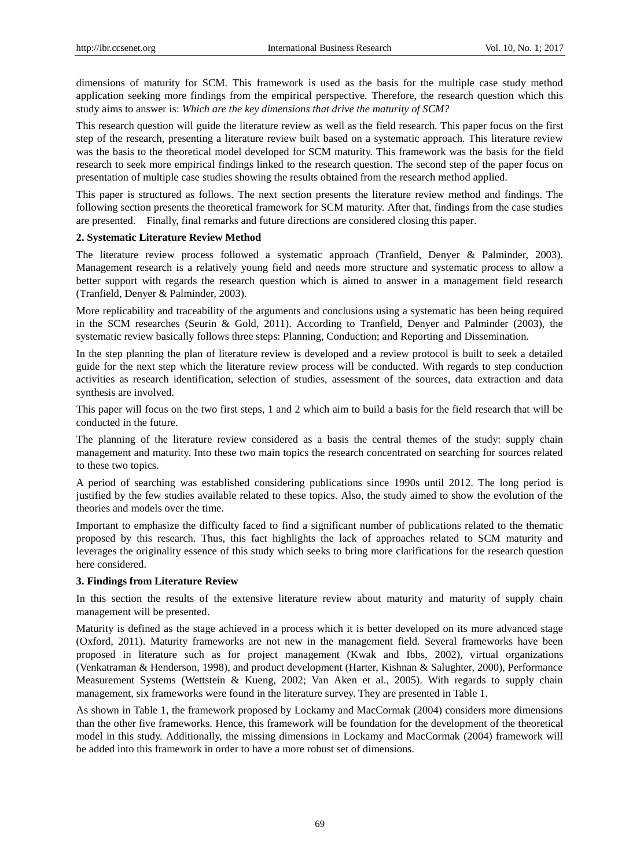dimensions of maturity for SCM. This framework is used as the basis for the multiple case study method application seeking more findings from the empirical perspective. Therefore, the research question which this study aims to answer is: *Which are the key dimensions that drive the maturity of SCM?*

This research question will guide the literature review as well as the field research. This paper focus on the first step of the research, presenting a literature review built based on a systematic approach. This literature review was the basis to the theoretical model developed for SCM maturity. This framework was the basis for the field research to seek more empirical findings linked to the research question. The second step of the paper focus on presentation of multiple case studies showing the results obtained from the research method applied.

This paper is structured as follows. The next section presents the literature review method and findings. The following section presents the theoretical framework for SCM maturity. After that, findings from the case studies are presented. Finally, final remarks and future directions are considered closing this paper.

#### **2. Systematic Literature Review Method**

The literature review process followed a systematic approach (Tranfield, Denyer & Palminder, 2003). Management research is a relatively young field and needs more structure and systematic process to allow a better support with regards the research question which is aimed to answer in a management field research (Tranfield, Denyer & Palminder, 2003).

More replicability and traceability of the arguments and conclusions using a systematic has been being required in the SCM researches (Seurin & Gold, 2011). According to Tranfield, Denyer and Palminder (2003), the systematic review basically follows three steps: Planning, Conduction; and Reporting and Dissemination.

In the step planning the plan of literature review is developed and a review protocol is built to seek a detailed guide for the next step which the literature review process will be conducted. With regards to step conduction activities as research identification, selection of studies, assessment of the sources, data extraction and data synthesis are involved.

This paper will focus on the two first steps, 1 and 2 which aim to build a basis for the field research that will be conducted in the future.

The planning of the literature review considered as a basis the central themes of the study: supply chain management and maturity. Into these two main topics the research concentrated on searching for sources related to these two topics.

A period of searching was established considering publications since 1990s until 2012. The long period is justified by the few studies available related to these topics. Also, the study aimed to show the evolution of the theories and models over the time.

Important to emphasize the difficulty faced to find a significant number of publications related to the thematic proposed by this research. Thus, this fact highlights the lack of approaches related to SCM maturity and leverages the originality essence of this study which seeks to bring more clarifications for the research question here considered.

#### **3. Findings from Literature Review**

In this section the results of the extensive literature review about maturity and maturity of supply chain management will be presented.

Maturity is defined as the stage achieved in a process which it is better developed on its more advanced stage (Oxford, 2011). Maturity frameworks are not new in the management field. Several frameworks have been proposed in literature such as for project management (Kwak and Ibbs, 2002), virtual organizations (Venkatraman & Henderson, 1998), and product development (Harter, Kishnan & Salughter, 2000), Performance Measurement Systems (Wettstein & Kueng, 2002; Van Aken et al., 2005). With regards to supply chain management, six frameworks were found in the literature survey. They are presented in Table 1.

As shown in Table 1, the framework proposed by Lockamy and MacCormak (2004) considers more dimensions than the other five frameworks. Hence, this framework will be foundation for the development of the theoretical model in this study. Additionally, the missing dimensions in Lockamy and MacCormak (2004) framework will be added into this framework in order to have a more robust set of dimensions.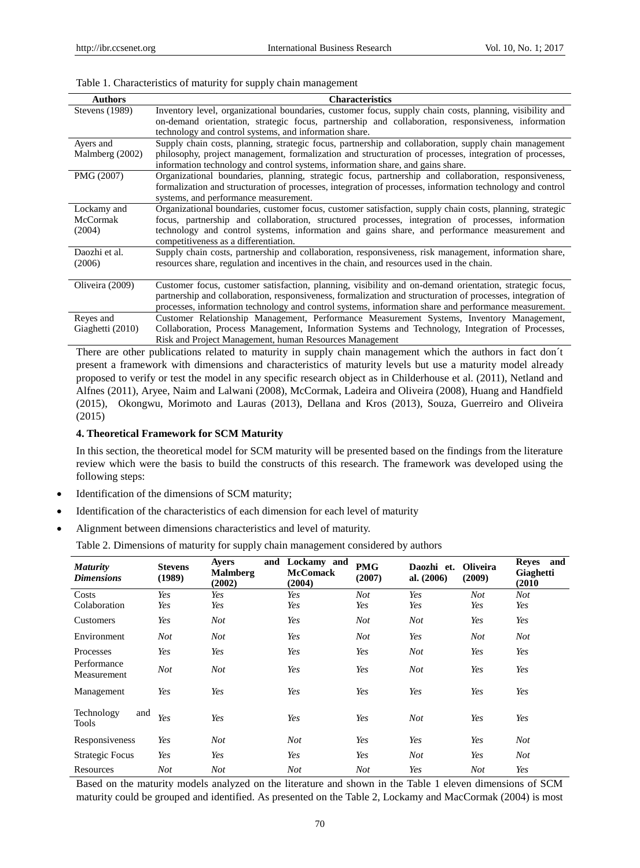#### Table 1. Characteristics of maturity for supply chain management

| <b>Authors</b>        | <b>Characteristics</b>                                                                                      |
|-----------------------|-------------------------------------------------------------------------------------------------------------|
| <b>Stevens</b> (1989) | Inventory level, organizational boundaries, customer focus, supply chain costs, planning, visibility and    |
|                       | on-demand orientation, strategic focus, partnership and collaboration, responsiveness, information          |
|                       | technology and control systems, and information share.                                                      |
| Avers and             | Supply chain costs, planning, strategic focus, partnership and collaboration, supply chain management       |
| Malmberg (2002)       | philosophy, project management, formalization and structuration of processes, integration of processes,     |
|                       | information technology and control systems, information share, and gains share.                             |
| PMG (2007)            | Organizational boundaries, planning, strategic focus, partnership and collaboration, responsiveness,        |
|                       | formalization and structuration of processes, integration of processes, information technology and control  |
|                       | systems, and performance measurement.                                                                       |
| Lockamy and           | Organizational boundaries, customer focus, customer satisfaction, supply chain costs, planning, strategic   |
| McCormak              | focus, partnership and collaboration, structured processes, integration of processes, information           |
| (2004)                | technology and control systems, information and gains share, and performance measurement and                |
|                       | competitiveness as a differentiation.                                                                       |
| Daozhi et al.         | Supply chain costs, partnership and collaboration, responsiveness, risk management, information share,      |
| (2006)                | resources share, regulation and incentives in the chain, and resources used in the chain.                   |
|                       |                                                                                                             |
| Oliveira (2009)       | Customer focus, customer satisfaction, planning, visibility and on-demand orientation, strategic focus,     |
|                       | partnership and collaboration, responsiveness, formalization and structuration of processes, integration of |
|                       | processes, information technology and control systems, information share and performance measurement.       |
| Reyes and             | Customer Relationship Management, Performance Measurement Systems, Inventory Management,                    |
| Giaghetti (2010)      | Collaboration, Process Management, Information Systems and Technology, Integration of Processes,            |
|                       | Risk and Project Management, human Resources Management                                                     |

There are other publications related to maturity in supply chain management which the authors in fact don  $t$ present a framework with dimensions and characteristics of maturity levels but use a maturity model already proposed to verify or test the model in any specific research object as in Childerhouse et al. (2011), Netland and Alfnes (2011), Aryee, Naim and Lalwani (2008), McCormak, Ladeira and Oliveira (2008), Huang and Handfield (2015), Okongwu, Morimoto and Lauras (2013), Dellana and Kros (2013), Souza, Guerreiro and Oliveira (2015)

#### **4. Theoretical Framework for SCM Maturity**

In this section, the theoretical model for SCM maturity will be presented based on the findings from the literature review which were the basis to build the constructs of this research. The framework was developed using the following steps:

- Identification of the dimensions of SCM maturity;
- Identification of the characteristics of each dimension for each level of maturity
- Alignment between dimensions characteristics and level of maturity.

Table 2. Dimensions of maturity for supply chain management considered by authors

| <b>Maturity</b><br><b>Dimensions</b> | <b>Stevens</b><br>(1989) | and<br>Avers<br><b>Malmberg</b><br>(2002) | Lockamy and<br><b>McComack</b><br>(2004) | <b>PMG</b><br>(2007) | Daozhi et.<br>al. $(2006)$ | <b>Oliveira</b><br>(2009) | and<br><b>Reyes</b><br>Giaghetti<br>(2010) |
|--------------------------------------|--------------------------|-------------------------------------------|------------------------------------------|----------------------|----------------------------|---------------------------|--------------------------------------------|
| Costs                                | Yes                      | Yes                                       | Yes                                      | <b>Not</b>           | Yes                        | Not                       | Not                                        |
| Colaboration                         | Yes                      | Yes                                       | Yes                                      | Yes                  | Yes                        | Yes                       | Yes                                        |
| Customers                            | Yes                      | Not                                       | Yes                                      | <b>Not</b>           | <b>Not</b>                 | Yes                       | Yes                                        |
| Environment                          | Not                      | Not                                       | Yes                                      | Not                  | Yes                        | Not                       | Not                                        |
| Processes                            | Yes                      | Yes                                       | Yes                                      | Yes                  | <b>Not</b>                 | Yes                       | Yes                                        |
| Performance<br>Measurement           | Not                      | Not                                       | Yes                                      | Yes                  | Not                        | Yes                       | Yes                                        |
| Management                           | Yes                      | Yes                                       | Yes                                      | Yes                  | Yes                        | Yes                       | Yes                                        |
| Technology<br>and<br>Tools           | Yes                      | Yes                                       | Yes                                      | Yes                  | <b>Not</b>                 | Yes                       | Yes                                        |
| Responsiveness                       | Yes                      | Not                                       | Not                                      | Yes                  | Yes                        | Yes                       | <b>Not</b>                                 |
| <b>Strategic Focus</b>               | Yes                      | Yes                                       | Yes                                      | Yes                  | <b>Not</b>                 | Yes                       | <b>Not</b>                                 |
| Resources                            | Not                      | Not                                       | Not                                      | <b>Not</b>           | Yes                        | <b>Not</b>                | Yes                                        |

Based on the maturity models analyzed on the literature and shown in the Table 1 eleven dimensions of SCM maturity could be grouped and identified. As presented on the Table 2, Lockamy and MacCormak (2004) is most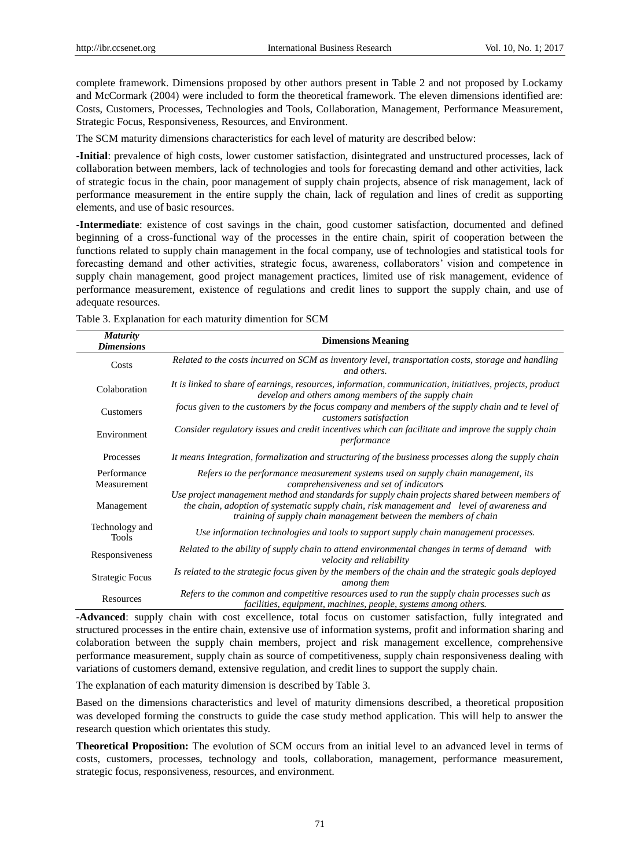complete framework. Dimensions proposed by other authors present in Table 2 and not proposed by Lockamy and McCormark (2004) were included to form the theoretical framework. The eleven dimensions identified are: Costs, Customers, Processes, Technologies and Tools, Collaboration, Management, Performance Measurement, Strategic Focus, Responsiveness, Resources, and Environment.

The SCM maturity dimensions characteristics for each level of maturity are described below:

-**Initial**: prevalence of high costs, lower customer satisfaction, disintegrated and unstructured processes, lack of collaboration between members, lack of technologies and tools for forecasting demand and other activities, lack of strategic focus in the chain, poor management of supply chain projects, absence of risk management, lack of performance measurement in the entire supply the chain, lack of regulation and lines of credit as supporting elements, and use of basic resources.

-**Intermediate**: existence of cost savings in the chain, good customer satisfaction, documented and defined beginning of a cross-functional way of the processes in the entire chain, spirit of cooperation between the functions related to supply chain management in the focal company, use of technologies and statistical tools for forecasting demand and other activities, strategic focus, awareness, collaborators' vision and competence in supply chain management, good project management practices, limited use of risk management, evidence of performance measurement, existence of regulations and credit lines to support the supply chain, and use of adequate resources.

| <b>Maturity</b><br><b>Dimensions</b> | <b>Dimensions Meaning</b>                                                                                                                                                                                                                                         |  |  |
|--------------------------------------|-------------------------------------------------------------------------------------------------------------------------------------------------------------------------------------------------------------------------------------------------------------------|--|--|
| Costs                                | Related to the costs incurred on SCM as inventory level, transportation costs, storage and handling<br>and others.                                                                                                                                                |  |  |
| Colaboration                         | It is linked to share of earnings, resources, information, communication, initiatives, projects, product<br>develop and others among members of the supply chain                                                                                                  |  |  |
| Customers                            | focus given to the customers by the focus company and members of the supply chain and te level of<br>customers satisfaction                                                                                                                                       |  |  |
| Environment                          | Consider regulatory issues and credit incentives which can facilitate and improve the supply chain<br>performance                                                                                                                                                 |  |  |
| Processes                            | It means Integration, formalization and structuring of the business processes along the supply chain                                                                                                                                                              |  |  |
| Performance<br>Measurement           | Refers to the performance measurement systems used on supply chain management, its<br>comprehensiveness and set of indicators                                                                                                                                     |  |  |
| Management                           | Use project management method and standards for supply chain projects shared between members of<br>the chain, adoption of systematic supply chain, risk management and level of awareness and<br>training of supply chain management between the members of chain |  |  |
| Technology and<br>Tools              | Use information technologies and tools to support supply chain management processes.                                                                                                                                                                              |  |  |
| Responsiveness                       | Related to the ability of supply chain to attend environmental changes in terms of demand with<br>velocity and reliability                                                                                                                                        |  |  |
| <b>Strategic Focus</b>               | Is related to the strategic focus given by the members of the chain and the strategic goals deployed<br>among them                                                                                                                                                |  |  |
| Resources                            | Refers to the common and competitive resources used to run the supply chain processes such as<br>facilities, equipment, machines, people, systems among others.                                                                                                   |  |  |

Table 3. Explanation for each maturity dimention for SCM

-**Advanced**: supply chain with cost excellence, total focus on customer satisfaction, fully integrated and structured processes in the entire chain, extensive use of information systems, profit and information sharing and colaboration between the supply chain members, project and risk management excellence, comprehensive performance measurement, supply chain as source of competitiveness, supply chain responsiveness dealing with variations of customers demand, extensive regulation, and credit lines to support the supply chain.

The explanation of each maturity dimension is described by Table 3.

Based on the dimensions characteristics and level of maturity dimensions described, a theoretical proposition was developed forming the constructs to guide the case study method application. This will help to answer the research question which orientates this study.

**Theoretical Proposition:** The evolution of SCM occurs from an initial level to an advanced level in terms of costs, customers, processes, technology and tools, collaboration, management, performance measurement, strategic focus, responsiveness, resources, and environment.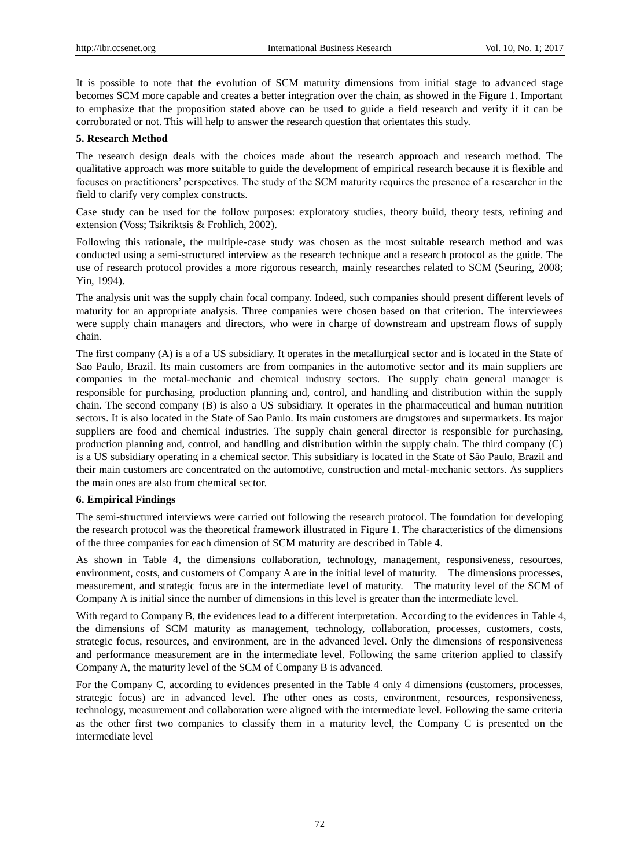It is possible to note that the evolution of SCM maturity dimensions from initial stage to advanced stage becomes SCM more capable and creates a better integration over the chain, as showed in the Figure 1. Important to emphasize that the proposition stated above can be used to guide a field research and verify if it can be corroborated or not. This will help to answer the research question that orientates this study.

#### **5. Research Method**

The research design deals with the choices made about the research approach and research method. The qualitative approach was more suitable to guide the development of empirical research because it is flexible and focuses on practitioners' perspectives. The study of the SCM maturity requires the presence of a researcher in the field to clarify very complex constructs.

Case study can be used for the follow purposes: exploratory studies, theory build, theory tests, refining and extension (Voss; Tsikriktsis & Frohlich, 2002).

Following this rationale, the multiple-case study was chosen as the most suitable research method and was conducted using a semi-structured interview as the research technique and a research protocol as the guide. The use of research protocol provides a more rigorous research, mainly researches related to SCM (Seuring, 2008; Yin, 1994).

The analysis unit was the supply chain focal company. Indeed, such companies should present different levels of maturity for an appropriate analysis. Three companies were chosen based on that criterion. The interviewees were supply chain managers and directors, who were in charge of downstream and upstream flows of supply chain.

The first company (A) is a of a US subsidiary. It operates in the metallurgical sector and is located in the State of Sao Paulo, Brazil. Its main customers are from companies in the automotive sector and its main suppliers are companies in the metal-mechanic and chemical industry sectors. The supply chain general manager is responsible for purchasing, production planning and, control, and handling and distribution within the supply chain. The second company (B) is also a US subsidiary. It operates in the pharmaceutical and human nutrition sectors. It is also located in the State of Sao Paulo. Its main customers are drugstores and supermarkets. Its major suppliers are food and chemical industries. The supply chain general director is responsible for purchasing, production planning and, control, and handling and distribution within the supply chain. The third company (C) is a US subsidiary operating in a chemical sector. This subsidiary is located in the State of São Paulo, Brazil and their main customers are concentrated on the automotive, construction and metal-mechanic sectors. As suppliers the main ones are also from chemical sector.

#### **6. Empirical Findings**

The semi-structured interviews were carried out following the research protocol. The foundation for developing the research protocol was the theoretical framework illustrated in Figure 1. The characteristics of the dimensions of the three companies for each dimension of SCM maturity are described in Table 4.

As shown in Table 4, the dimensions collaboration, technology, management, responsiveness, resources, environment, costs, and customers of Company A are in the initial level of maturity. The dimensions processes, measurement, and strategic focus are in the intermediate level of maturity. The maturity level of the SCM of Company A is initial since the number of dimensions in this level is greater than the intermediate level.

With regard to Company B, the evidences lead to a different interpretation. According to the evidences in Table 4, the dimensions of SCM maturity as management, technology, collaboration, processes, customers, costs, strategic focus, resources, and environment, are in the advanced level. Only the dimensions of responsiveness and performance measurement are in the intermediate level. Following the same criterion applied to classify Company A, the maturity level of the SCM of Company B is advanced.

For the Company C, according to evidences presented in the Table 4 only 4 dimensions (customers, processes, strategic focus) are in advanced level. The other ones as costs, environment, resources, responsiveness, technology, measurement and collaboration were aligned with the intermediate level. Following the same criteria as the other first two companies to classify them in a maturity level, the Company C is presented on the intermediate level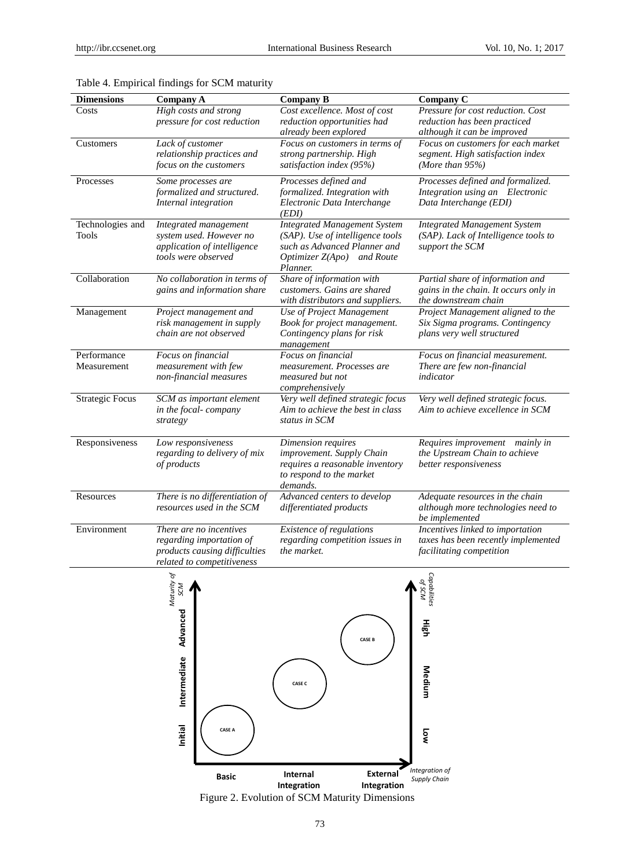| <b>Dimensions</b>                | Company A                                                                                                          | <b>Company B</b>                                                                                                                                  | Company C                                                                                           |
|----------------------------------|--------------------------------------------------------------------------------------------------------------------|---------------------------------------------------------------------------------------------------------------------------------------------------|-----------------------------------------------------------------------------------------------------|
| Costs                            | High costs and strong<br>pressure for cost reduction                                                               | Cost excellence. Most of cost<br>reduction opportunities had<br>already been explored                                                             | Pressure for cost reduction. Cost<br>reduction has been practiced<br>although it can be improved    |
| Customers                        | Lack of customer<br>relationship practices and<br>focus on the customers                                           | Focus on customers in terms of<br>strong partnership. High<br>satisfaction index (95%)                                                            | Focus on customers for each market<br>segment. High satisfaction index<br>(More than $95\%$ )       |
| Processes                        | Some processes are<br>formalized and structured.<br>Internal integration                                           | Processes defined and<br>formalized. Integration with<br>Electronic Data Interchange<br>(EDI)                                                     | Processes defined and formalized.<br>Integration using an Electronic<br>Data Interchange (EDI)      |
| Technologies and<br><b>Tools</b> | Integrated management<br>system used. However no<br>application of intelligence<br>tools were observed             | <b>Integrated Management System</b><br>(SAP). Use of intelligence tools<br>such as Advanced Planner and<br>Optimizer Z(Apo) and Route<br>Planner. | <b>Integrated Management System</b><br>(SAP). Lack of Intelligence tools to<br>support the SCM      |
| Collaboration                    | No collaboration in terms of<br>gains and information share                                                        | Share of information with<br>customers. Gains are shared<br>with distributors and suppliers.                                                      | Partial share of information and<br>gains in the chain. It occurs only in<br>the downstream chain   |
| Management                       | Project management and<br>risk management in supply<br>chain are not observed                                      | Use of Project Management<br>Book for project management.<br>Contingency plans for risk<br>management                                             | Project Management aligned to the<br>Six Sigma programs. Contingency<br>plans very well structured  |
| Performance<br>Measurement       | Focus on financial<br>measurement with few<br>non-financial measures                                               | Focus on financial<br>measurement. Processes are<br>measured but not<br>comprehensively                                                           | Focus on financial measurement.<br>There are few non-financial<br>indicator                         |
| <b>Strategic Focus</b>           | SCM as important element<br>in the focal-company<br>strategy                                                       | Very well defined strategic focus<br>Aim to achieve the best in class<br>status in SCM                                                            | Very well defined strategic focus.<br>Aim to achieve excellence in SCM                              |
| Responsiveness                   | Low responsiveness<br>regarding to delivery of mix<br>of products                                                  | Dimension requires<br>improvement. Supply Chain<br>requires a reasonable inventory<br>to respond to the market<br>demands.                        | Requires improvement mainly in<br>the Upstream Chain to achieve<br>better responsiveness            |
| Resources                        | There is no differentiation of<br>resources used in the SCM                                                        | Advanced centers to develop<br>differentiated products                                                                                            | Adequate resources in the chain<br>although more technologies need to<br>be implemented             |
| Environment                      | There are no incentives<br>regarding importation of<br>products causing difficulties<br>related to competitiveness | Existence of regulations<br>regarding competition issues in<br>the market.                                                                        | Incentives linked to importation<br>taxes has been recently implemented<br>facilitating competition |

# Table 4. Empirical findings for SCM maturity



Figure 2. Evolution of SCM Maturity Dimensions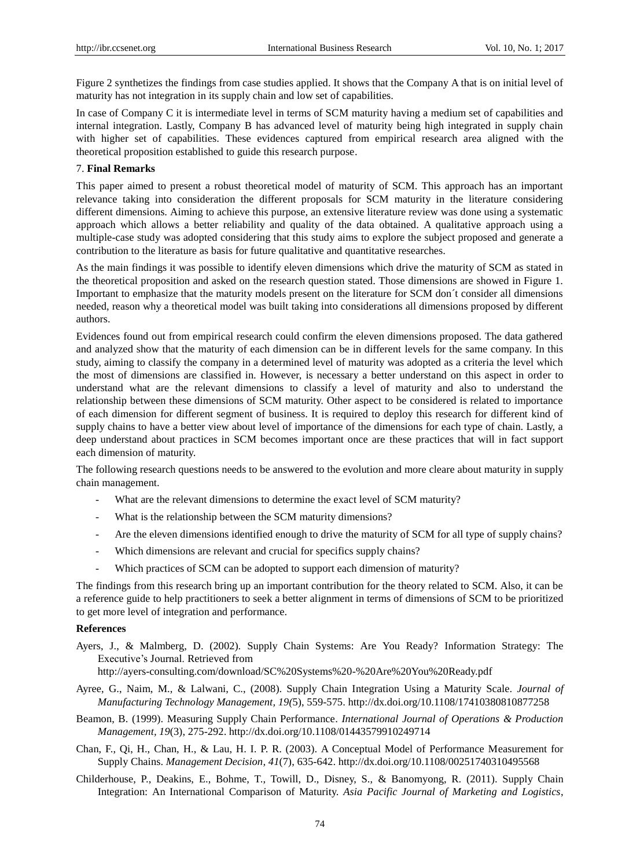Figure 2 synthetizes the findings from case studies applied. It shows that the Company A that is on initial level of maturity has not integration in its supply chain and low set of capabilities.

In case of Company C it is intermediate level in terms of SCM maturity having a medium set of capabilities and internal integration. Lastly, Company B has advanced level of maturity being high integrated in supply chain with higher set of capabilities. These evidences captured from empirical research area aligned with the theoretical proposition established to guide this research purpose.

## 7. **Final Remarks**

This paper aimed to present a robust theoretical model of maturity of SCM. This approach has an important relevance taking into consideration the different proposals for SCM maturity in the literature considering different dimensions. Aiming to achieve this purpose, an extensive literature review was done using a systematic approach which allows a better reliability and quality of the data obtained. A qualitative approach using a multiple-case study was adopted considering that this study aims to explore the subject proposed and generate a contribution to the literature as basis for future qualitative and quantitative researches.

As the main findings it was possible to identify eleven dimensions which drive the maturity of SCM as stated in the theoretical proposition and asked on the research question stated. Those dimensions are showed in Figure 1. Important to emphasize that the maturity models present on the literature for SCM don´t consider all dimensions needed, reason why a theoretical model was built taking into considerations all dimensions proposed by different authors.

Evidences found out from empirical research could confirm the eleven dimensions proposed. The data gathered and analyzed show that the maturity of each dimension can be in different levels for the same company. In this study, aiming to classify the company in a determined level of maturity was adopted as a criteria the level which the most of dimensions are classified in. However, is necessary a better understand on this aspect in order to understand what are the relevant dimensions to classify a level of maturity and also to understand the relationship between these dimensions of SCM maturity. Other aspect to be considered is related to importance of each dimension for different segment of business. It is required to deploy this research for different kind of supply chains to have a better view about level of importance of the dimensions for each type of chain. Lastly, a deep understand about practices in SCM becomes important once are these practices that will in fact support each dimension of maturity.

The following research questions needs to be answered to the evolution and more cleare about maturity in supply chain management.

- What are the relevant dimensions to determine the exact level of SCM maturity?
- What is the relationship between the SCM maturity dimensions?
- Are the eleven dimensions identified enough to drive the maturity of SCM for all type of supply chains?
- Which dimensions are relevant and crucial for specifics supply chains?
- Which practices of SCM can be adopted to support each dimension of maturity?

The findings from this research bring up an important contribution for the theory related to SCM. Also, it can be a reference guide to help practitioners to seek a better alignment in terms of dimensions of SCM to be prioritized to get more level of integration and performance.

#### **References**

Ayers, J., & Malmberg, D. (2002). Supply Chain Systems: Are You Ready? Information Strategy: The Executive's Journal. Retrieved from

http://ayers-consulting.com/download/SC%20Systems%20-%20Are%20You%20Ready.pdf

- Ayree, G., Naim, M., & Lalwani, C., (2008). Supply Chain Integration Using a Maturity Scale. *Journal of Manufacturing Technology Management, 19(*5), 559-575. http://dx.doi.org/10.1108/17410380810877258
- Beamon, B. (1999). Measuring Supply Chain Performance. *International Journal of Operations & Production Management, 19*(3), 275-292. http://dx.doi.org/10.1108/01443579910249714
- Chan, F., Qi, H., Chan, H., & Lau, H. I. P. R. (2003). A Conceptual Model of Performance Measurement for Supply Chains. *Management Decision, 41*(7), 635-642. http://dx.doi.org/10.1108/00251740310495568
- Childerhouse, P., Deakins, E., Bohme, T., Towill, D., Disney, S., & Banomyong, R. (2011). Supply Chain Integration: An International Comparison of Maturity. *Asia Pacific Journal of Marketing and Logistics*,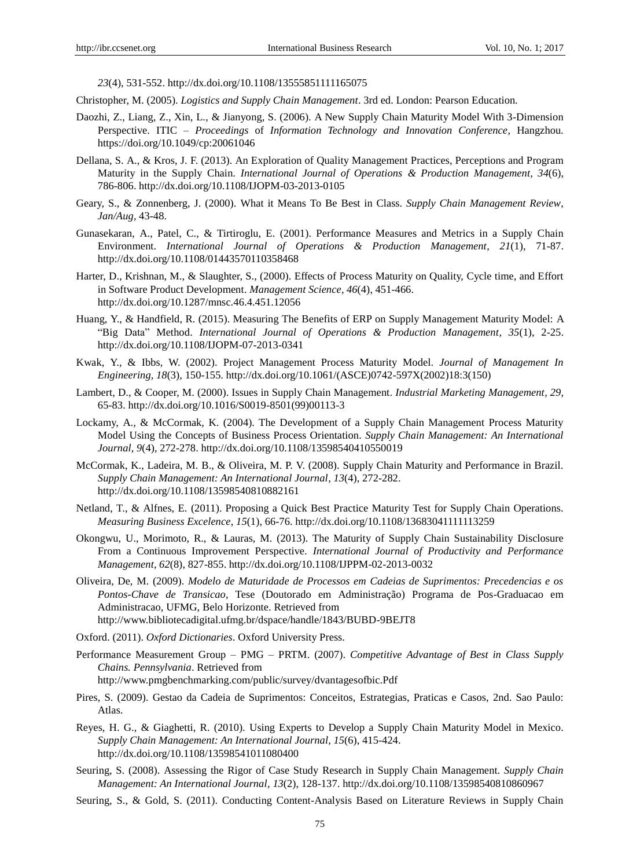*23*(4), 531-552. http://dx.doi.org/10.1108/13555851111165075

- Christopher, M. (2005). *Logistics and Supply Chain Management*. 3rd ed. London: Pearson Education.
- Daozhi, Z., Liang, Z., Xin, L., & Jianyong, S. (2006). A New Supply Chain Maturity Model With 3-Dimension Perspective. ITIC – *Proceedings* of *Information Technology and Innovation Conference*, Hangzhou. <https://doi.org/10.1049/cp:20061046>
- Dellana, S. A., & Kros, J. F. (2013). An Exploration of Quality Management Practices, Perceptions and Program Maturity in the Supply Chain. *International Journal of Operations & Production Management, 34*(6), 786-806. http://dx.doi.org/10.1108/IJOPM-03-2013-0105
- Geary, S., & Zonnenberg, J. (2000). What it Means To Be Best in Class. *Supply Chain Management Review*, *Jan/Aug,* 43-48.
- Gunasekaran, A., Patel, C., & Tirtiroglu, E. (2001). Performance Measures and Metrics in a Supply Chain Environment. *International Journal of Operations & Production Management, 21*(1), 71-87. http://dx.doi.org/10.1108/01443570110358468
- Harter, D., Krishnan, M., & Slaughter, S., (2000). Effects of Process Maturity on Quality, Cycle time, and Effort in Software Product Development. *Management Science, 46*(4), 451-466. http://dx.doi.org/10.1287/mnsc.46.4.451.12056
- Huang, Y., & Handfield, R. (2015). Measuring The Benefits of ERP on Supply Management Maturity Model: A "Big Data" Method. *International Journal of Operations & Production Management, 35*(1), 2-25. http://dx.doi.org/10.1108/IJOPM-07-2013-0341
- Kwak, Y., & Ibbs, W. (2002). Project Management Process Maturity Model. *Journal of Management In Engineering, 18*(3), 150-155. http://dx.doi.org/10.1061/(ASCE)0742-597X(2002)18:3(150)
- Lambert, D., & Cooper, M. (2000). Issues in Supply Chain Management. *Industrial Marketing Management, 29,*  65-83. http://dx.doi.org/10.1016/S0019-8501(99)00113-3
- Lockamy, A., & McCormak, K. (2004). The Development of a Supply Chain Management Process Maturity Model Using the Concepts of Business Process Orientation. *Supply Chain Management: An International Journal, 9*(4), 272-278. http://dx.doi.org/10.1108/13598540410550019
- McCormak, K., Ladeira, M. B., & Oliveira, M. P. V. (2008). Supply Chain Maturity and Performance in Brazil. *Supply Chain Management: An International Journal, 13*(4), 272-282. http://dx.doi.org/10.1108/13598540810882161
- Netland, T., & Alfnes, E. (2011). Proposing a Quick Best Practice Maturity Test for Supply Chain Operations. *Measuring Business Excelence*, *15*(1), 66-76. http://dx.doi.org/10.1108/13683041111113259
- Okongwu, U., Morimoto, R., & Lauras, M. (2013). The Maturity of Supply Chain Sustainability Disclosure From a Continuous Improvement Perspective. *International Journal of Productivity and Performance Management, 62*(8), 827-855. http://dx.doi.org/10.1108/IJPPM-02-2013-0032
- Oliveira, De, M. (2009). *Modelo de Maturidade de Processos em Cadeias de Suprimentos: Precedencias e os Pontos-Chave de Transicao*, Tese (Doutorado em Administração) Programa de Pos-Graduacao em Administracao, UFMG, Belo Horizonte. Retrieved from http://www.bibliotecadigital.ufmg.br/dspace/handle/1843/BUBD-9BEJT8
- Oxford. (2011). *Oxford Dictionaries*. Oxford University Press.
- Performance Measurement Group PMG PRTM. (2007). *Competitive Advantage of Best in Class Supply Chains. Pennsylvania*. Retrieved from http://www.pmgbenchmarking.com/public/survey/dvantagesofbic.Pdf
- Pires, S. (2009). Gestao da Cadeia de Suprimentos: Conceitos, Estrategias, Praticas e Casos, 2nd. Sao Paulo: Atlas.
- Reyes, H. G., & Giaghetti, R. (2010). Using Experts to Develop a Supply Chain Maturity Model in Mexico. *Supply Chain Management: An International Journal, 15*(6), 415-424. http://dx.doi.org/10.1108/13598541011080400
- Seuring, S. (2008). Assessing the Rigor of Case Study Research in Supply Chain Management. *Supply Chain Management: An International Journal, 13*(2), 128-137. http://dx.doi.org/10.1108/13598540810860967
- Seuring, S., & Gold, S. (2011). Conducting Content-Analysis Based on Literature Reviews in Supply Chain